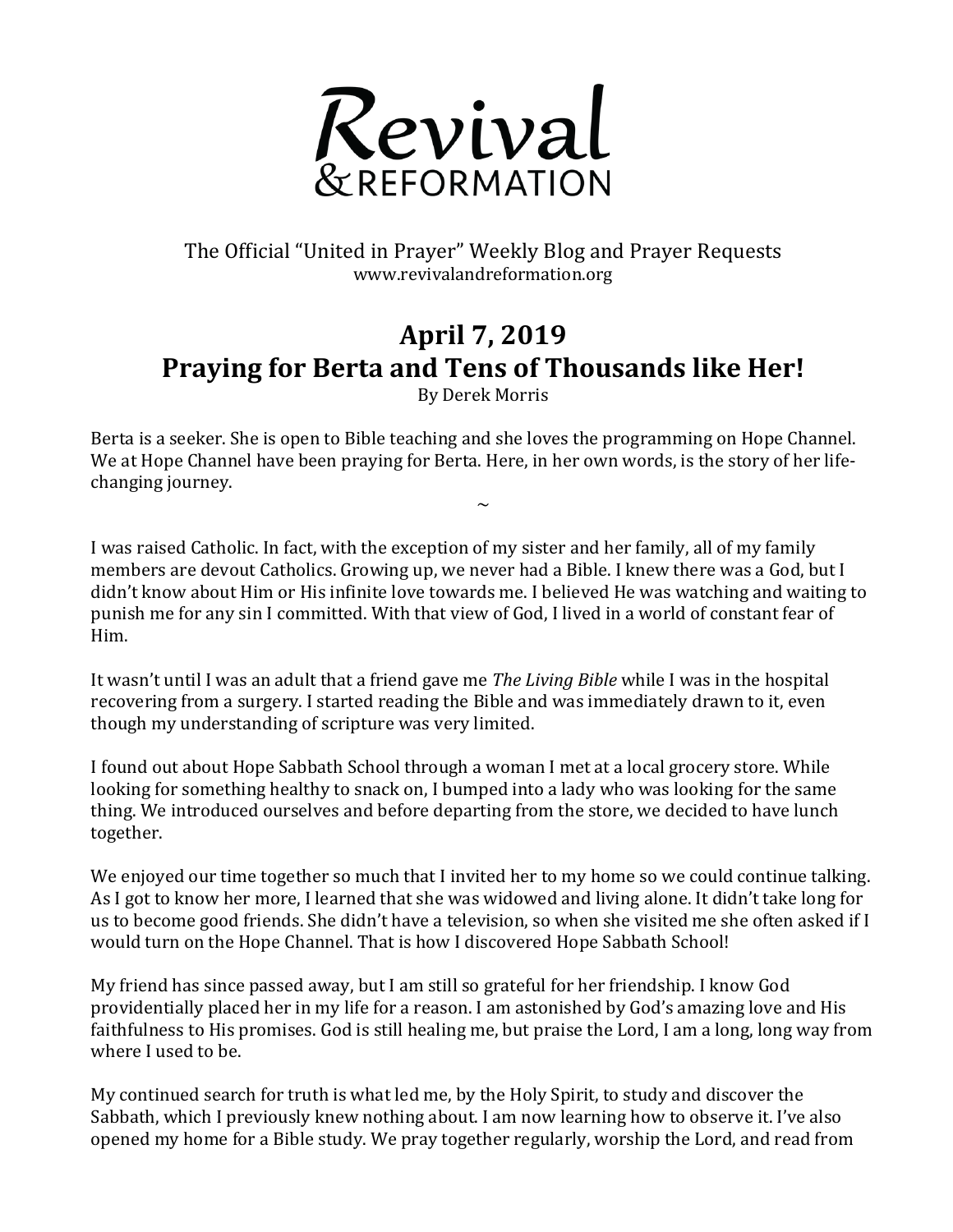

## The Official "United in Prayer" Weekly Blog and Prayer Requests www.revivalandreformation.org

## **April 7, 2019** Praying for Berta and Tens of Thousands like Her!

By Derek Morris

Berta is a seeker. She is open to Bible teaching and she loves the programming on Hope Channel. We at Hope Channel have been praying for Berta. Here, in her own words, is the story of her lifechanging journey.

 $\sim$ 

I was raised Catholic. In fact, with the exception of my sister and her family, all of my family members are devout Catholics. Growing up, we never had a Bible. I knew there was a God, but I didn't know about Him or His infinite love towards me. I believed He was watching and waiting to punish me for any sin I committed. With that view of God, I lived in a world of constant fear of Him. 

It wasn't until I was an adult that a friend gave me *The Living Bible* while I was in the hospital recovering from a surgery. I started reading the Bible and was immediately drawn to it, even though my understanding of scripture was very limited.

I found out about Hope Sabbath School through a woman I met at a local grocery store. While looking for something healthy to snack on, I bumped into a lady who was looking for the same thing. We introduced ourselves and before departing from the store, we decided to have lunch together.

We enjoyed our time together so much that I invited her to my home so we could continue talking. As I got to know her more, I learned that she was widowed and living alone. It didn't take long for us to become good friends. She didn't have a television, so when she visited me she often asked if I would turn on the Hope Channel. That is how I discovered Hope Sabbath School!

My friend has since passed away, but I am still so grateful for her friendship. I know God providentially placed her in my life for a reason. I am astonished by God's amazing love and His faithfulness to His promises. God is still healing me, but praise the Lord, I am a long, long way from where I used to be.

My continued search for truth is what led me, by the Holy Spirit, to study and discover the Sabbath, which I previously knew nothing about. I am now learning how to observe it. I've also opened my home for a Bible study. We pray together regularly, worship the Lord, and read from